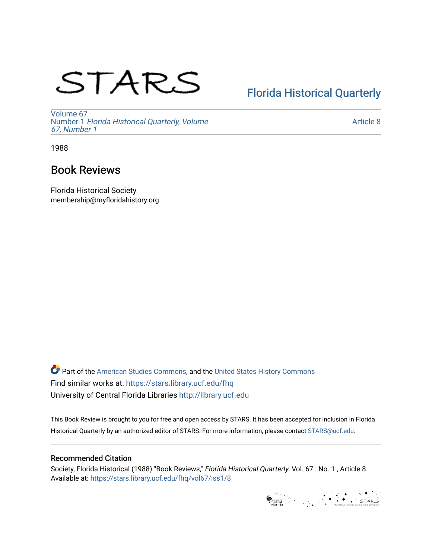# STARS

# [Florida Historical Quarterly](https://stars.library.ucf.edu/fhq)

[Volume 67](https://stars.library.ucf.edu/fhq/vol67) Number 1 [Florida Historical Quarterly, Volume](https://stars.library.ucf.edu/fhq/vol67/iss1)  [67, Number 1](https://stars.library.ucf.edu/fhq/vol67/iss1)

[Article 8](https://stars.library.ucf.edu/fhq/vol67/iss1/8) 

1988

## Book Reviews

Florida Historical Society membership@myfloridahistory.org

**C** Part of the [American Studies Commons](http://network.bepress.com/hgg/discipline/439?utm_source=stars.library.ucf.edu%2Ffhq%2Fvol67%2Fiss1%2F8&utm_medium=PDF&utm_campaign=PDFCoverPages), and the United States History Commons Find similar works at: <https://stars.library.ucf.edu/fhq> University of Central Florida Libraries [http://library.ucf.edu](http://library.ucf.edu/) 

This Book Review is brought to you for free and open access by STARS. It has been accepted for inclusion in Florida Historical Quarterly by an authorized editor of STARS. For more information, please contact [STARS@ucf.edu.](mailto:STARS@ucf.edu)

#### Recommended Citation

Society, Florida Historical (1988) "Book Reviews," Florida Historical Quarterly: Vol. 67 : No. 1 , Article 8. Available at: [https://stars.library.ucf.edu/fhq/vol67/iss1/8](https://stars.library.ucf.edu/fhq/vol67/iss1/8?utm_source=stars.library.ucf.edu%2Ffhq%2Fvol67%2Fiss1%2F8&utm_medium=PDF&utm_campaign=PDFCoverPages) 

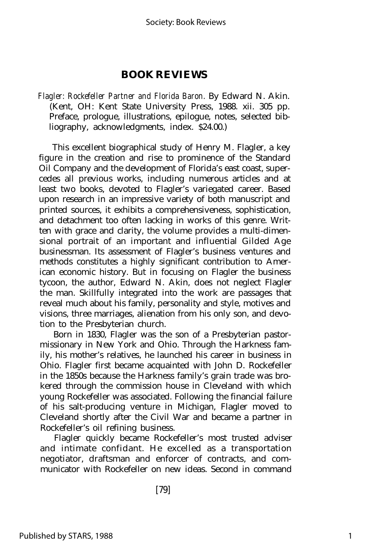*Flagler: Rockefeller Partner and Florida Baron.* By Edward N. Akin. (Kent, OH: Kent State University Press, 1988. xii. 305 pp. Preface, prologue, illustrations, epilogue, notes, selected bibliography, acknowledgments, index. \$24.00.)

This excellent biographical study of Henry M. Flagler, a key figure in the creation and rise to prominence of the Standard Oil Company and the development of Florida's east coast, supercedes all previous works, including numerous articles and at least two books, devoted to Flagler's variegated career. Based upon research in an impressive variety of both manuscript and printed sources, it exhibits a comprehensiveness, sophistication, and detachment too often lacking in works of this genre. Written with grace and clarity, the volume provides a multi-dimensional portrait of an important and influential Gilded Age businessman. Its assessment of Flagler's business ventures and methods constitutes a highly significant contribution to American economic history. But in focusing on Flagler the business tycoon, the author, Edward N. Akin, does not neglect Flagler the man. Skillfully integrated into the work are passages that reveal much about his family, personality and style, motives and visions, three marriages, alienation from his only son, and devotion to the Presbyterian church.

Born in 1830, Flagler was the son of a Presbyterian pastormissionary in New York and Ohio. Through the Harkness family, his mother's relatives, he launched his career in business in Ohio. Flagler first became acquainted with John D. Rockefeller in the 1850s because the Harkness family's grain trade was brokered through the commission house in Cleveland with which young Rockefeller was associated. Following the financial failure of his salt-producing venture in Michigan, Flagler moved to Cleveland shortly after the Civil War and became a partner in Rockefeller's oil refining business.

Flagler quickly became Rockefeller's most trusted adviser and intimate confidant. He excelled as a transportation negotiator, draftsman and enforcer of contracts, and communicator with Rockefeller on new ideas. Second in command

[79]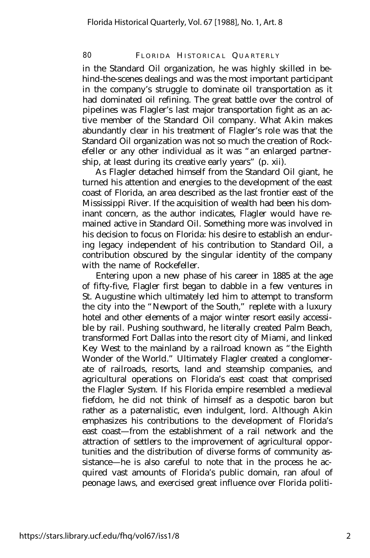in the Standard Oil organization, he was highly skilled in behind-the-scenes dealings and was the most important participant in the company's struggle to dominate oil transportation as it had dominated oil refining. The great battle over the control of pipelines was Flagler's last major transportation fight as an active member of the Standard Oil company. What Akin makes abundantly clear in his treatment of Flagler's role was that the Standard Oil organization was not so much the creation of Rockefeller or any other individual as it was "an enlarged partnership, at least during its creative early years" (p. xii).

As Flagler detached himself from the Standard Oil giant, he turned his attention and energies to the development of the east coast of Florida, an area described as the last frontier east of the Mississippi River. If the acquisition of wealth had been his dominant concern, as the author indicates, Flagler would have remained active in Standard Oil. Something more was involved in his decision to focus on Florida: his desire to establish an enduring legacy independent of his contribution to Standard Oil, a contribution obscured by the singular identity of the company with the name of Rockefeller.

Entering upon a new phase of his career in 1885 at the age of fifty-five, Flagler first began to dabble in a few ventures in St. Augustine which ultimately led him to attempt to transform the city into the "Newport of the South," replete with a luxury hotel and other elements of a major winter resort easily accessible by rail. Pushing southward, he literally created Palm Beach, transformed Fort Dallas into the resort city of Miami, and linked Key West to the mainland by a railroad known as "the Eighth Wonder of the World." Ultimately Flagler created a conglomerate of railroads, resorts, land and steamship companies, and agricultural operations on Florida's east coast that comprised the Flagler System. If his Florida empire resembled a medieval fiefdom, he did not think of himself as a despotic baron but rather as a paternalistic, even indulgent, lord. Although Akin emphasizes his contributions to the development of Florida's east coast— from the establishment of a rail network and the attraction of settlers to the improvement of agricultural opportunities and the distribution of diverse forms of community assistance— he is also careful to note that in the process he acquired vast amounts of Florida's public domain, ran afoul of peonage laws, and exercised great influence over Florida politi-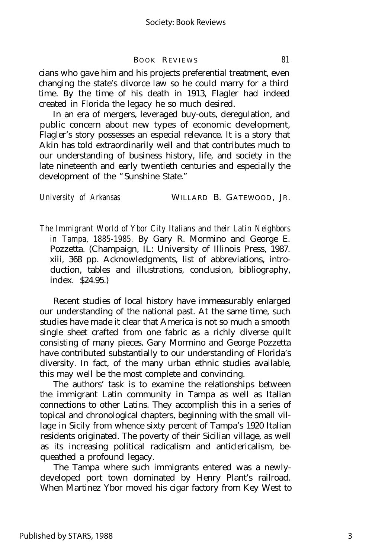cians who gave him and his projects preferential treatment, even changing the state's divorce law so he could marry for a third time. By the time of his death in 1913, Flagler had indeed created in Florida the legacy he so much desired.

In an era of mergers, leveraged buy-outs, deregulation, and public concern about new types of economic development, Flagler's story possesses an especial relevance. It is a story that Akin has told extraordinarily well and that contributes much to our understanding of business history, life, and society in the late nineteenth and early twentieth centuries and especially the development of the "Sunshine State."

*University of Arkansas* WILLARD B. GATEWOOD, JR.

*The Immigrant World of Ybor City Italians and their Latin Neighbors in Tampa, 1885-1985.* By Gary R. Mormino and George E. Pozzetta. (Champaign, IL: University of Illinois Press, 1987. xiii, 368 pp. Acknowledgments, list of abbreviations, introduction, tables and illustrations, conclusion, bibliography, index. \$24.95.)

Recent studies of local history have immeasurably enlarged our understanding of the national past. At the same time, such studies have made it clear that America is not so much a smooth single sheet crafted from one fabric as a richly diverse quilt consisting of many pieces. Gary Mormino and George Pozzetta have contributed substantially to our understanding of Florida's diversity. In fact, of the many urban ethnic studies available, this may well be the most complete and convincing.

The authors' task is to examine the relationships between the immigrant Latin community in Tampa as well as Italian connections to other Latins. They accomplish this in a series of topical and chronological chapters, beginning with the small village in Sicily from whence sixty percent of Tampa's 1920 Italian residents originated. The poverty of their Sicilian village, as well as its increasing political radicalism and anticlericalism, bequeathed a profound legacy.

The Tampa where such immigrants entered was a newlydeveloped port town dominated by Henry Plant's railroad. When Martinez Ybor moved his cigar factory from Key West to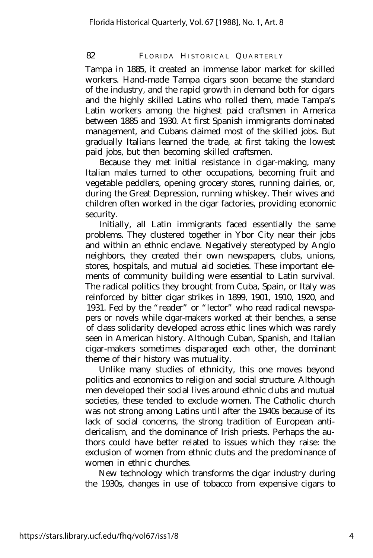Tampa in 1885, it created an immense labor market for skilled workers. Hand-made Tampa cigars soon became the standard of the industry, and the rapid growth in demand both for cigars and the highly skilled Latins who rolled them, made Tampa's Latin workers among the highest paid craftsmen in America between 1885 and 1930. At first Spanish immigrants dominated management, and Cubans claimed most of the skilled jobs. But gradually Italians learned the trade, at first taking the lowest paid jobs, but then becoming skilled craftsmen.

Because they met initial resistance in cigar-making, many Italian males turned to other occupations, becoming fruit and vegetable peddlers, opening grocery stores, running dairies, or, during the Great Depression, running whiskey. Their wives and children often worked in the cigar factories, providing economic security.

Initially, all Latin immigrants faced essentially the same problems. They clustered together in Ybor City near their jobs and within an ethnic enclave. Negatively stereotyped by Anglo neighbors, they created their own newspapers, clubs, unions, stores, hospitals, and mutual aid societies. These important elements of community building were essential to Latin survival. The radical politics they brought from Cuba, Spain, or Italy was reinforced by bitter cigar strikes in 1899, 1901, 1910, 1920, and 1931. Fed by the "reader" or "lector" who read radical newspapers or novels while cigar-makers worked at their benches, a sense of class solidarity developed across ethic lines which was rarely seen in American history. Although Cuban, Spanish, and Italian cigar-makers sometimes disparaged each other, the dominant theme of their history was mutuality.

Unlike many studies of ethnicity, this one moves beyond politics and economics to religion and social structure. Although men developed their social lives around ethnic clubs and mutual societies, these tended to exclude women. The Catholic church was not strong among Latins until after the 1940s because of its lack of social concerns, the strong tradition of European anticlericalism, and the dominance of Irish priests. Perhaps the authors could have better related to issues which they raise: the exclusion of women from ethnic clubs and the predominance of women in ethnic churches.

New technology which transforms the cigar industry during the 1930s, changes in use of tobacco from expensive cigars to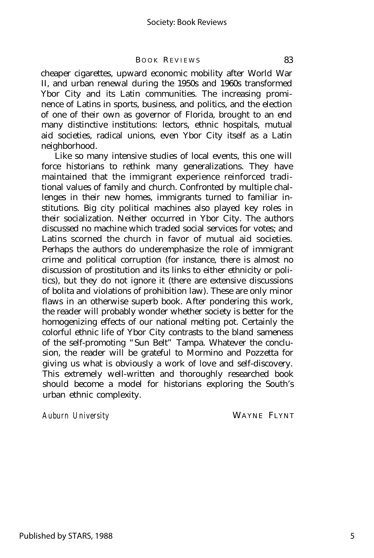cheaper cigarettes, upward economic mobility after World War II, and urban renewal during the 1950s and 1960s transformed Ybor City and its Latin communities. The increasing prominence of Latins in sports, business, and politics, and the election of one of their own as governor of Florida, brought to an end many distinctive institutions: lectors, ethnic hospitals, mutual aid societies, radical unions, even Ybor City itself as a Latin neighborhood.

Like so many intensive studies of local events, this one will force historians to rethink many generalizations. They have maintained that the immigrant experience reinforced traditional values of family and church. Confronted by multiple challenges in their new homes, immigrants turned to familiar institutions. Big city political machines also played key roles in their socialization. Neither occurred in Ybor City. The authors discussed no machine which traded social services for votes; and Latins scorned the church in favor of mutual aid societies. Perhaps the authors do underemphasize the role of immigrant crime and political corruption (for instance, there is almost no discussion of prostitution and its links to either ethnicity or politics), but they do not ignore it (there are extensive discussions of bolita and violations of prohibition law). These are only minor flaws in an otherwise superb book. After pondering this work, the reader will probably wonder whether society is better for the homogenizing effects of our national melting pot. Certainly the colorful ethnic life of Ybor City contrasts to the bland sameness of the self-promoting "Sun Belt" Tampa. Whatever the conclusion, the reader will be grateful to Mormino and Pozzetta for giving us what is obviously a work of love and self-discovery. This extremely well-written and thoroughly researched book should become a model for historians exploring the South's urban ethnic complexity.

*Auburn University* WAYNE FLYNT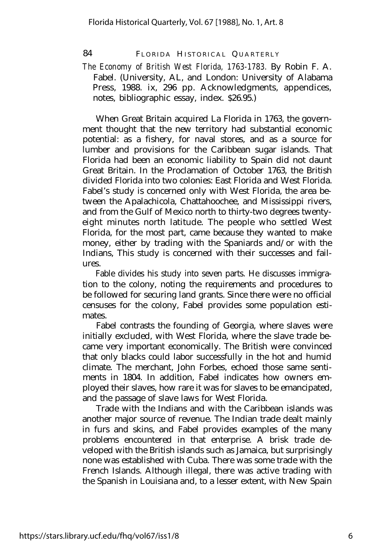*The Economy of British West Florida, 1763-1783.* By Robin F. A. Fabel. (University, AL, and London: University of Alabama Press, 1988. ix, 296 pp. Acknowledgments, appendices, notes, bibliographic essay, index. \$26.95.)

When Great Britain acquired La Florida in 1763, the government thought that the new territory had substantial economic potential: as a fishery, for naval stores, and as a source for lumber and provisions for the Caribbean sugar islands. That Florida had been an economic liability to Spain did not daunt Great Britain. In the Proclamation of October 1763, the British divided Florida into two colonies: East Florida and West Florida. Fabel's study is concerned only with West Florida, the area between the Apalachicola, Chattahoochee, and Mississippi rivers, and from the Gulf of Mexico north to thirty-two degrees twentyeight minutes north latitude. The people who settled West Florida, for the most part, came because they wanted to make money, either by trading with the Spaniards and/or with the Indians, This study is concerned with their successes and failures.

Fable divides his study into seven parts. He discusses immigration to the colony, noting the requirements and procedures to be followed for securing land grants. Since there were no official censuses for the colony, Fabel provides some population estimates.

Fabel contrasts the founding of Georgia, where slaves were initially excluded, with West Florida, where the slave trade became very important economically. The British were convinced that only blacks could labor successfully in the hot and humid climate. The merchant, John Forbes, echoed those same sentiments in 1804. In addition, Fabel indicates how owners employed their slaves, how rare it was for slaves to be emancipated, and the passage of slave laws for West Florida.

Trade with the Indians and with the Caribbean islands was another major source of revenue. The Indian trade dealt mainly in furs and skins, and Fabel provides examples of the many problems encountered in that enterprise. A brisk trade developed with the British islands such as Jamaica, but surprisingly none was established with Cuba. There was some trade with the French Islands. Although illegal, there was active trading with the Spanish in Louisiana and, to a lesser extent, with New Spain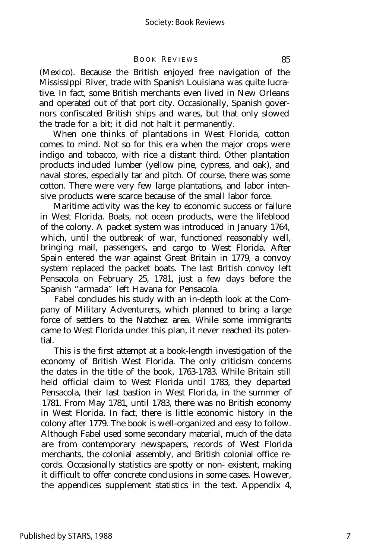(Mexico). Because the British enjoyed free navigation of the Mississippi River, trade with Spanish Louisiana was quite lucrative. In fact, some British merchants even lived in New Orleans and operated out of that port city. Occasionally, Spanish governors confiscated British ships and wares, but that only slowed the trade for a bit; it did not halt it permanently.

When one thinks of plantations in West Florida, cotton comes to mind. Not so for this era when the major crops were indigo and tobacco, with rice a distant third. Other plantation products included lumber (yellow pine, cypress, and oak), and naval stores, especially tar and pitch. Of course, there was some cotton. There were very few large plantations, and labor intensive products were scarce because of the small labor force.

Maritime activity was the key to economic success or failure in West Florida. Boats, not ocean products, were the lifeblood of the colony. A packet system was introduced in January 1764, which, until the outbreak of war, functioned reasonably well, bringing mail, passengers, and cargo to West Florida. After Spain entered the war against Great Britain in 1779, a convoy system replaced the packet boats. The last British convoy left Pensacola on February 25, 1781, just a few days before the Spanish "armada" left Havana for Pensacola.

Fabel concludes his study with an in-depth look at the Company of Military Adventurers, which planned to bring a large force of settlers to the Natchez area. While some immigrants came to West Florida under this plan, it never reached its potential.

This is the first attempt at a book-length investigation of the economy of British West Florida. The only criticism concerns the dates in the title of the book, 1763-1783. While Britain still held official claim to West Florida until 1783, they departed Pensacola, their last bastion in West Florida, in the summer of 1781. From May 1781, until 1783, there was no British economy in West Florida. In fact, there is little economic history in the colony after 1779. The book is well-organized and easy to follow. Although Fabel used some secondary material, much of the data are from contemporary newspapers, records of West Florida merchants, the colonial assembly, and British colonial office records. Occasionally statistics are spotty or non- existent, making it difficult to offer concrete conclusions in some cases. However, the appendices supplement statistics in the text. Appendix 4,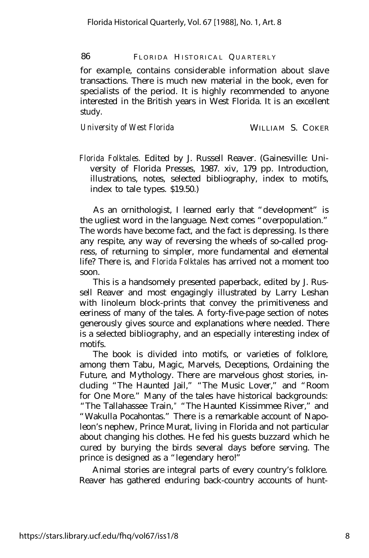for example, contains considerable information about slave transactions. There is much new material in the book, even for specialists of the period. It is highly recommended to anyone interested in the British years in West Florida. It is an excellent study.

*University of West Florida* WILLIAM S. COKER

*Florida Folktales.* Edited by J. Russell Reaver. (Gainesville: University of Florida Presses, 1987. xiv, 179 pp. Introduction, illustrations, notes, selected bibliography, index to motifs, index to tale types. \$19.50.)

As an ornithologist, I learned early that "development" is the ugliest word in the language. Next comes "overpopulation." The words have become fact, and the fact is depressing. Is there any respite, any way of reversing the wheels of so-called progress, of returning to simpler, more fundamental and elemental life? There is, and *Florida Folktales* has arrived not a moment too soon.

This is a handsomely presented paperback, edited by J. Russell Reaver and most engagingly illustrated by Larry Leshan with linoleum block-prints that convey the primitiveness and eeriness of many of the tales. A forty-five-page section of notes generously gives source and explanations where needed. There is a selected bibliography, and an especially interesting index of motifs.

The book is divided into motifs, or varieties of folklore, among them Tabu, Magic, Marvels, Deceptions, Ordaining the Future, and Mythology. There are marvelous ghost stories, including "The Haunted Jail," "The Music Lover," and "Room for One More." Many of the tales have historical backgrounds: "The Tallahassee Train," "The Haunted Kissimmee River," and "Wakulla Pocahontas." There is a remarkable account of Napoleon's nephew, Prince Murat, living in Florida and not particular about changing his clothes. He fed his guests buzzard which he cured by burying the birds several days before serving. The prince is designed as a "legendary hero!"

Animal stories are integral parts of every country's folklore. Reaver has gathered enduring back-country accounts of hunt-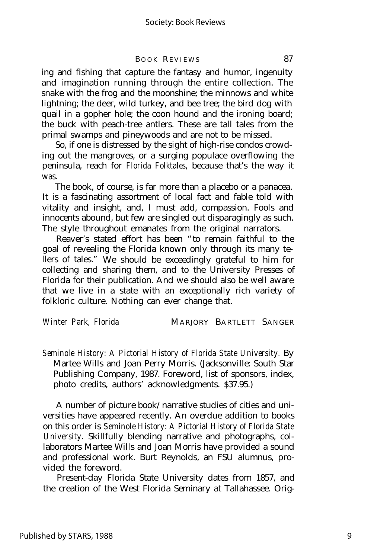ing and fishing that capture the fantasy and humor, ingenuity and imagination running through the entire collection. The snake with the frog and the moonshine; the minnows and white lightning; the deer, wild turkey, and bee tree; the bird dog with quail in a gopher hole; the coon hound and the ironing board; the buck with peach-tree antlers. These are tall tales from the primal swamps and pineywoods and are not to be missed.

So, if one is distressed by the sight of high-rise condos crowding out the mangroves, or a surging populace overflowing the peninsula, reach for *Florida Folktales,* because that's the way it was.

The book, of course, is far more than a placebo or a panacea. It is a fascinating assortment of local fact and fable told with vitality and insight, and, I must add, compassion. Fools and innocents abound, but few are singled out disparagingly as such. The style throughout emanates from the original narrators.

Reaver's stated effort has been "to remain faithful to the goal of revealing the Florida known only through its many tellers of tales." We should be exceedingly grateful to him for collecting and sharing them, and to the University Presses of Florida for their publication. And we should also be well aware that we live in a state with an exceptionally rich variety of folkloric culture. Nothing can ever change that.

*Winter Park, Florida* MARJORY BARTLETT SANGER

*Seminole History: A Pictorial History of Florida State University.* By Martee Wills and Joan Perry Morris. (Jacksonville: South Star Publishing Company, 1987. Foreword, list of sponsors, index, photo credits, authors' acknowledgments. \$37.95.)

A number of picture book/narrative studies of cities and universities have appeared recently. An overdue addition to books on this order is *Seminole History: A Pictorial History of Florida State University.* Skillfully blending narrative and photographs, collaborators Martee Wills and Joan Morris have provided a sound and professional work. Burt Reynolds, an FSU alumnus, provided the foreword.

Present-day Florida State University dates from 1857, and the creation of the West Florida Seminary at Tallahassee. Orig-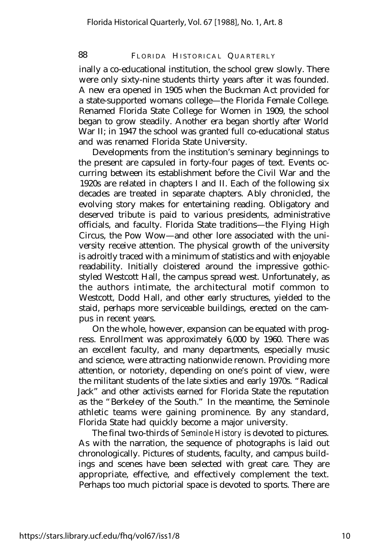inally a co-educational institution, the school grew slowly. There were only sixty-nine students thirty years after it was founded. A new era opened in 1905 when the Buckman Act provided for a state-supported womans college— the Florida Female College. Renamed Florida State College for Women in 1909, the school began to grow steadily. Another era began shortly after World War II; in 1947 the school was granted full co-educational status and was renamed Florida State University.

Developments from the institution's seminary beginnings to the present are capsuled in forty-four pages of text. Events occurring between its establishment before the Civil War and the 1920s are related in chapters I and II. Each of the following six decades are treated in separate chapters. Ably chronicled, the evolving story makes for entertaining reading. Obligatory and deserved tribute is paid to various presidents, administrative officials, and faculty. Florida State traditions— the Flying High Circus, the Pow Wow— and other lore associated with the university receive attention. The physical growth of the university is adroitly traced with a minimum of statistics and with enjoyable readability. Initially cloistered around the impressive gothicstyled Westcott Hall, the campus spread west. Unfortunately, as the authors intimate, the architectural motif common to Westcott, Dodd Hall, and other early structures, yielded to the staid, perhaps more serviceable buildings, erected on the campus in recent years.

On the whole, however, expansion can be equated with progress. Enrollment was approximately 6,000 by 1960. There was an excellent faculty, and many departments, especially music and science, were attracting nationwide renown. Providing more attention, or notoriety, depending on one's point of view, were the militant students of the late sixties and early 1970s. "Radical Jack" and other activists earned for Florida State the reputation as the "Berkeley of the South." In the meantime, the Seminole athletic teams were gaining prominence. By any standard, Florida State had quickly become a major university.

The final two-thirds of *Seminole History* is devoted to pictures. As with the narration, the sequence of photographs is laid out chronologically. Pictures of students, faculty, and campus buildings and scenes have been selected with great care. They are appropriate, effective, and effectively complement the text. Perhaps too much pictorial space is devoted to sports. There are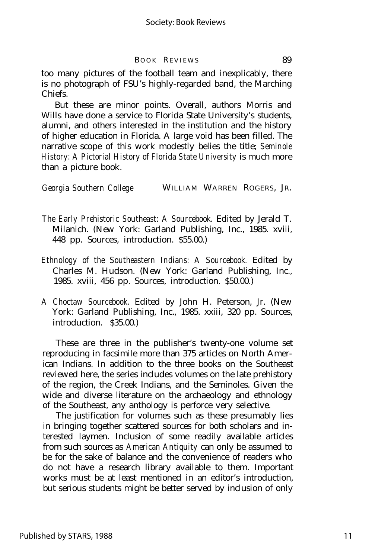too many pictures of the football team and inexplicably, there is no photograph of FSU's highly-regarded band, the Marching Chiefs.

But these are minor points. Overall, authors Morris and Wills have done a service to Florida State University's students, alumni, and others interested in the institution and the history of higher education in Florida. A large void has been filled. The narrative scope of this work modestly belies the title; *Seminole History: A Pictorial History of Florida State University* is much more than a picture book.

*Georgia Southern College* WILLIAM WARREN ROGERS, JR.

- *The Early Prehistoric Southeast: A Sourcebook.* Edited by Jerald T. Milanich. (New York: Garland Publishing, Inc., 1985. xviii, 448 pp. Sources, introduction. \$55.00.)
- *Ethnology of the Southeastern Indians: A Sourcebook.* Edited by Charles M. Hudson. (New York: Garland Publishing, Inc., 1985. xviii, 456 pp. Sources, introduction. \$50.00.)
- *A Choctaw Sourcebook.* Edited by John H. Peterson, Jr. (New York: Garland Publishing, Inc., 1985. xxiii, 320 pp. Sources, introduction. \$35.00.)

These are three in the publisher's twenty-one volume set reproducing in facsimile more than 375 articles on North American Indians. In addition to the three books on the Southeast reviewed here, the series includes volumes on the late prehistory of the region, the Creek Indians, and the Seminoles. Given the wide and diverse literature on the archaeology and ethnology of the Southeast, any anthology is perforce very selective.

The justification for volumes such as these presumably lies in bringing together scattered sources for both scholars and interested laymen. Inclusion of some readily available articles from such sources as *American Antiquity* can only be assumed to be for the sake of balance and the convenience of readers who do not have a research library available to them. Important works must be at least mentioned in an editor's introduction, but serious students might be better served by inclusion of only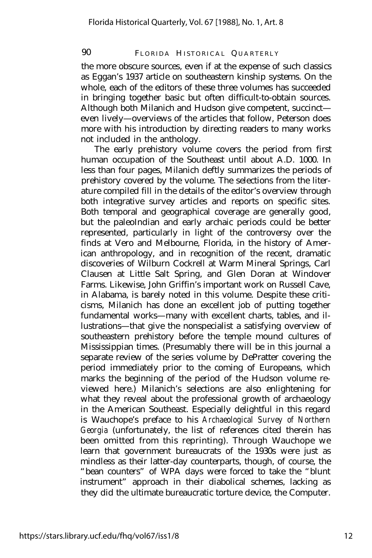the more obscure sources, even if at the expense of such classics as Eggan's 1937 article on southeastern kinship systems. On the whole, each of the editors of these three volumes has succeeded in bringing together basic but often difficult-to-obtain sources. Although both Milanich and Hudson give competent, succinct even lively— overviews of the articles that follow, Peterson does more with his introduction by directing readers to many works not included in the anthology.

The early prehistory volume covers the period from first human occupation of the Southeast until about A.D. 1000. In less than four pages, Milanich deftly summarizes the periods of prehistory covered by the volume. The selections from the literature compiled fill in the details of the editor's overview through both integrative survey articles and reports on specific sites. Both temporal and geographical coverage are generally good, but the paleoIndian and early archaic periods could be better represented, particularly in light of the controversy over the finds at Vero and Melbourne, Florida, in the history of American anthropology, and in recognition of the recent, dramatic discoveries of Wilburn Cockrell at Warm Mineral Springs, Carl Clausen at Little Salt Spring, and Glen Doran at Windover Farms. Likewise, John Griffin's important work on Russell Cave, in Alabama, is barely noted in this volume. Despite these criticisms, Milanich has done an excellent job of putting together fundamental works— many with excellent charts, tables, and illustrations— that give the nonspecialist a satisfying overview of southeastern prehistory before the temple mound cultures of Mississippian times. (Presumably there will be in this journal a separate review of the series volume by DePratter covering the period immediately prior to the coming of Europeans, which marks the beginning of the period of the Hudson volume reviewed here.) Milanich's selections are also enlightening for what they reveal about the professional growth of archaeology in the American Southeast. Especially delightful in this regard is Wauchope's preface to his *Archaeological Survey of Northern Georgia* (unfortunately, the list of references cited therein has been omitted from this reprinting). Through Wauchope we learn that government bureaucrats of the 1930s were just as mindless as their latter-day counterparts, though, of course, the "bean counters" of WPA days were forced to take the "blunt instrument" approach in their diabolical schemes, lacking as they did the ultimate bureaucratic torture device, the Computer.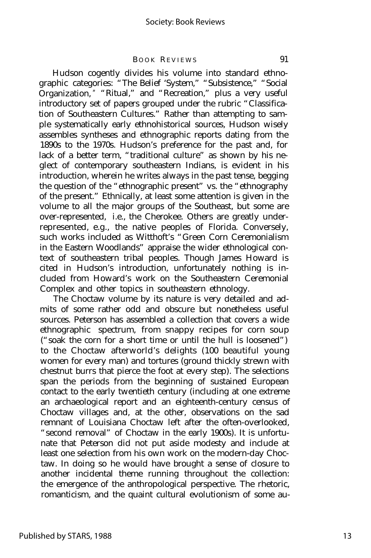Hudson cogently divides his volume into standard ethnographic categories: "The Belief 'System," "Subsistence," "Social Organization, " "Ritual," and "Recreation," plus a very useful introductory set of papers grouped under the rubric "Classification of Southeastern Cultures." Rather than attempting to sample systematically early ethnohistorical sources, Hudson wisely assembles syntheses and ethnographic reports dating from the 1890s to the 1970s. Hudson's preference for the past and, for lack of a better term, "traditional culture" as shown by his neglect of contemporary southeastern Indians, is evident in his introduction, wherein he writes always in the past tense, begging the question of the "ethnographic present" vs. the "ethnography of the present." Ethnically, at least some attention is given in the volume to all the major groups of the Southeast, but some are over-represented, i.e., the Cherokee. Others are greatly underrepresented, e.g., the native peoples of Florida. Conversely, such works included as Witthoft's "Green Corn Ceremonialism in the Eastern Woodlands" appraise the wider ethnological context of southeastern tribal peoples. Though James Howard is cited in Hudson's introduction, unfortunately nothing is included from Howard's work on the Southeastern Ceremonial Complex and other topics in southeastern ethnology.

The Choctaw volume by its nature is very detailed and admits of some rather odd and obscure but nonetheless useful sources. Peterson has assembled a collection that covers a wide ethnographic spectrum, from snappy recipes for corn soup ("soak the corn for a short time or until the hull is loosened") to the Choctaw afterworld's delights (100 beautiful young women for every man) and tortures (ground thickly strewn with chestnut burrs that pierce the foot at every step). The selections span the periods from the beginning of sustained European contact to the early twentieth century (including at one extreme an archaeological report and an eighteenth-century census of Choctaw villages and, at the other, observations on the sad remnant of Louisiana Choctaw left after the often-overlooked, "second removal" of Choctaw in the early 1900s). It is unfortunate that Peterson did not put aside modesty and include at least one selection from his own work on the modern-day Choctaw. In doing so he would have brought a sense of closure to another incidental theme running throughout the collection: the emergence of the anthropological perspective. The rhetoric, romanticism, and the quaint cultural evolutionism of some au-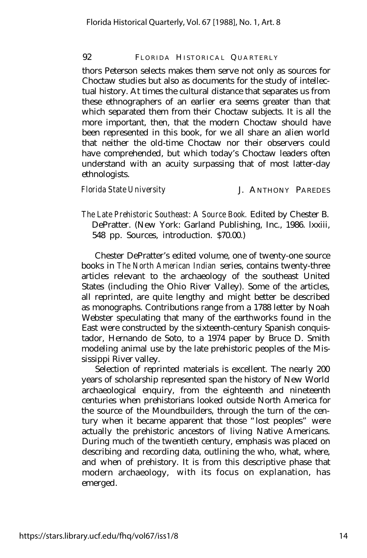thors Peterson selects makes them serve not only as sources for Choctaw studies but also as documents for the study of intellectual history. At times the cultural distance that separates us from these ethnographers of an earlier era seems greater than that which separated them from their Choctaw subjects. It is all the more important, then, that the modern Choctaw should have been represented in this book, for we all share an alien world that neither the old-time Choctaw nor their observers could have comprehended, but which today's Choctaw leaders often understand with an acuity surpassing that of most latter-day ethnologists.

*Florida State University* J. ANTHONY PAREDES

*The Late Prehistoric Southeast: A Source Book.* Edited by Chester B. DePratter. (New York: Garland Publishing, Inc., 1986. lxxiii, 548 pp. Sources, introduction. \$70.00.)

Chester DePratter's edited volume, one of twenty-one source books in *The North American Indian* series, contains twenty-three articles relevant to the archaeology of the southeast United States (including the Ohio River Valley). Some of the articles, all reprinted, are quite lengthy and might better be described as monographs. Contributions range from a 1788 letter by Noah Webster speculating that many of the earthworks found in the East were constructed by the sixteenth-century Spanish conquistador, Hernando de Soto, to a 1974 paper by Bruce D. Smith modeling animal use by the late prehistoric peoples of the Mississippi River valley.

Selection of reprinted materials is excellent. The nearly 200 years of scholarship represented span the history of New World archaeological enquiry, from the eighteenth and nineteenth centuries when prehistorians looked outside North America for the source of the Moundbuilders, through the turn of the century when it became apparent that those "lost peoples" were actually the prehistoric ancestors of living Native Americans. During much of the twentieth century, emphasis was placed on describing and recording data, outlining the who, what, where, and when of prehistory. It is from this descriptive phase that modern archaeology, with its focus on explanation, has emerged.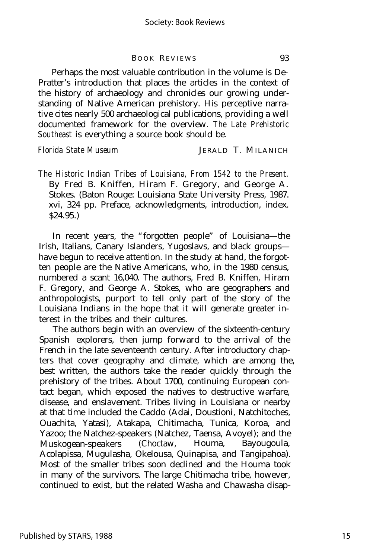Perhaps the most valuable contribution in the volume is De-Pratter's introduction that places the articles in the context of the history of archaeology and chronicles our growing understanding of Native American prehistory. His perceptive narrative cites nearly 500 archaeological publications, providing a well documented framework for the overview. *The Late Prehistoric Southeast* is everything a source book should be.

*Florida State Museum* JERALD T. MILANICH

*The Historic Indian Tribes of Louisiana, From 1542 to the Present.* By Fred B. Kniffen, Hiram F. Gregory, and George A. Stokes. (Baton Rouge: Louisiana State University Press, 1987. xvi, 324 pp. Preface, acknowledgments, introduction, index. \$24.95.)

In recent years, the "forgotten people" of Louisiana— the Irish, Italians, Canary Islanders, Yugoslavs, and black groups have begun to receive attention. In the study at hand, the forgotten people are the Native Americans, who, in the 1980 census, numbered a scant 16,040. The authors, Fred B. Kniffen, Hiram F. Gregory, and George A. Stokes, who are geographers and anthropologists, purport to tell only part of the story of the Louisiana Indians in the hope that it will generate greater interest in the tribes and their cultures.

The authors begin with an overview of the sixteenth-century Spanish explorers, then jump forward to the arrival of the French in the late seventeenth century. After introductory chapters that cover geography and climate, which are among the, best written, the authors take the reader quickly through the prehistory of the tribes. About 1700, continuing European contact began, which exposed the natives to destructive warfare, disease, and enslavement. Tribes living in Louisiana or nearby at that time included the Caddo (Adai, Doustioni, Natchitoches, Ouachita, Yatasi), Atakapa, Chitimacha, Tunica, Koroa, and Yazoo; the Natchez-speakers (Natchez, Taensa, Avoyel); and the Muskogean-speakers (Choctaw, Houma, Bayougoula, Acolapissa, Mugulasha, Okelousa, Quinapisa, and Tangipahoa). Most of the smaller tribes soon declined and the Houma took in many of the survivors. The large Chitimacha tribe, however, continued to exist, but the related Washa and Chawasha disap-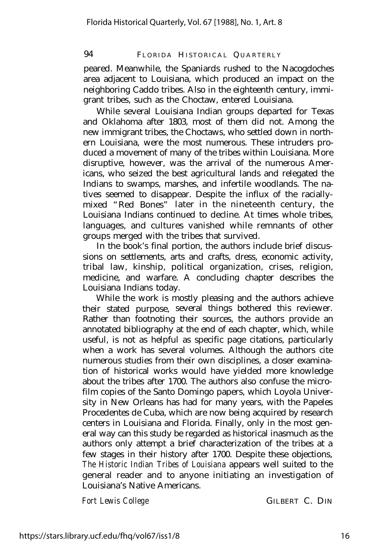peared. Meanwhile, the Spaniards rushed to the Nacogdoches area adjacent to Louisiana, which produced an impact on the neighboring Caddo tribes. Also in the eighteenth century, immigrant tribes, such as the Choctaw, entered Louisiana.

While several Louisiana Indian groups departed for Texas and Oklahoma after 1803, most of them did not. Among the new immigrant tribes, the Choctaws, who settled down in northern Louisiana, were the most numerous. These intruders produced a movement of many of the tribes within Louisiana. More disruptive, however, was the arrival of the numerous Americans, who seized the best agricultural lands and relegated the Indians to swamps, marshes, and infertile woodlands. The natives seemed to disappear. Despite the influx of the raciallymixed "Red Bones" later in the nineteenth century, the Louisiana Indians continued to decline. At times whole tribes, languages, and cultures vanished while remnants of other groups merged with the tribes that survived.

In the book's final portion, the authors include brief discussions on settlements, arts and crafts, dress, economic activity, tribal law, kinship, political organization, crises, religion, medicine, and warfare. A concluding chapter describes the Louisiana Indians today.

While the work is mostly pleasing and the authors achieve their stated purpose, several things bothered this reviewer. Rather than footnoting their sources, the authors provide an annotated bibliography at the end of each chapter, which, while useful, is not as helpful as specific page citations, particularly when a work has several volumes. Although the authors cite numerous studies from their own disciplines, a closer examination of historical works would have yielded more knowledge about the tribes after 1700. The authors also confuse the microfilm copies of the Santo Domingo papers, which Loyola University in New Orleans has had for many years, with the Papeles Procedentes de Cuba, which are now being acquired by research centers in Louisiana and Florida. Finally, only in the most general way can this study be regarded as historical inasmuch as the authors only attempt a brief characterization of the tribes at a few stages in their history after 1700. Despite these objections, *The Historic Indian Tribes of Louisiana* appears well suited to the general reader and to anyone initiating an investigation of Louisiana's Native Americans.

*Fort Lewis College* **GILBERT C. DIN**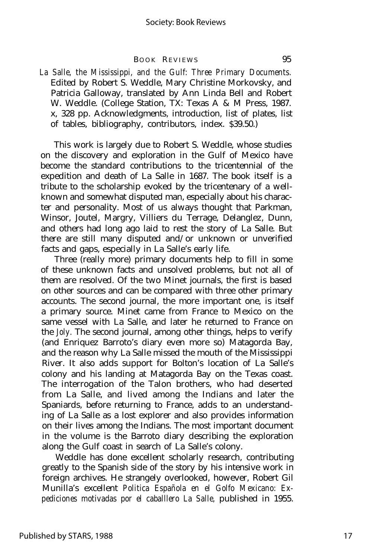*La Salle, the Mississippi, and the Gulf: Three Primary Documents.* Edited by Robert S. Weddle, Mary Christine Morkovsky, and Patricia Galloway, translated by Ann Linda Bell and Robert W. Weddle. (College Station, TX: Texas A & M Press, 1987. x, 328 pp. Acknowledgments, introduction, list of plates, list of tables, bibliography, contributors, index. \$39.50.)

This work is largely due to Robert S. Weddle, whose studies on the discovery and exploration in the Gulf of Mexico have become the standard contributions to the tricentennial of the expedition and death of La Salle in 1687. The book itself is a tribute to the scholarship evoked by the tricentenary of a wellknown and somewhat disputed man, especially about his character and personality. Most of us always thought that Parkman, Winsor, Joutel, Margry, Villiers du Terrage, Delanglez, Dunn, and others had long ago laid to rest the story of La Salle. But there are still many disputed and/or unknown or unverified facts and gaps, especially in La Salle's early life.

Three (really more) primary documents help to fill in some of these unknown facts and unsolved problems, but not all of them are resolved. Of the two Minet journals, the first is based on other sources and can be compared with three other primary accounts. The second journal, the more important one, is itself a primary source. Minet came from France to Mexico on the same vessel with La Salle, and later he returned to France on the *Joly.* The second journal, among other things, helps to verify (and Enriquez Barroto's diary even more so) Matagorda Bay, and the reason why La Salle missed the mouth of the Mississippi River. It also adds support for Bolton's location of La Salle's colony and his landing at Matagorda Bay on the Texas coast. The interrogation of the Talon brothers, who had deserted from La Salle, and lived among the Indians and later the Spaniards, before returning to France, adds to an understanding of La Salle as a lost explorer and also provides information on their lives among the Indians. The most important document in the volume is the Barroto diary describing the exploration along the Gulf coast in search of La Salle's colony.

Weddle has done excellent scholarly research, contributing greatly to the Spanish side of the story by his intensive work in foreign archives. He strangely overlooked, however, Robert Gil Munilla's excellent *Politica Española en el Golfo Mexicano: Expediciones motivadas por el caballlero La Salle,* published in 1955.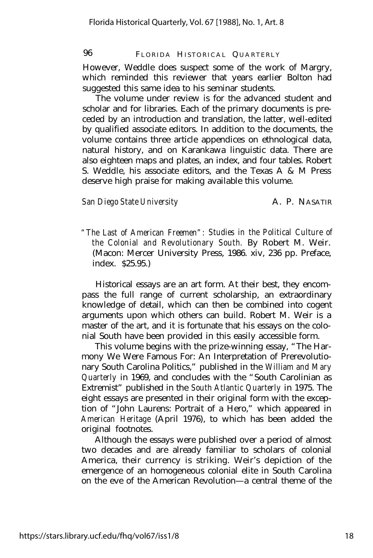However, Weddle does suspect some of the work of Margry, which reminded this reviewer that years earlier Bolton had suggested this same idea to his seminar students.

The volume under review is for the advanced student and scholar and for libraries. Each of the primary documents is preceded by an introduction and translation, the latter, well-edited by qualified associate editors. In addition to the documents, the volume contains three article appendices on ethnological data, natural history, and on Karankawa linguistic data. There are also eighteen maps and plates, an index, and four tables. Robert S. Weddle, his associate editors, and the Texas A & M Press deserve high praise for making available this volume.

*San Diego State University* A. P. NASATIR

*"The Last of American Freemen": Studies in the Political Culture of the Colonial and Revolutionary South.* By Robert M. Weir. (Macon: Mercer University Press, 1986. xiv, 236 pp. Preface, index. \$25.95.)

Historical essays are an art form. At their best, they encompass the full range of current scholarship, an extraordinary knowledge of detail, which can then be combined into cogent arguments upon which others can build. Robert M. Weir is a master of the art, and it is fortunate that his essays on the colonial South have been provided in this easily accessible form.

This volume begins with the prize-winning essay, "The Harmony We Were Famous For: An Interpretation of Prerevolutionary South Carolina Politics," published in the *William and Mary Quarterly* in 1969, and concludes with the "South Carolinian as Extremist" published in the *South Atlantic Quarterly* in 1975. The eight essays are presented in their original form with the exception of "John Laurens: Portrait of a Hero," which appeared in *American Heritage* (April 1976), to which has been added the original footnotes.

Although the essays were published over a period of almost two decades and are already familiar to scholars of colonial America, their currency is striking. Weir's depiction of the emergence of an homogeneous colonial elite in South Carolina on the eve of the American Revolution— a central theme of the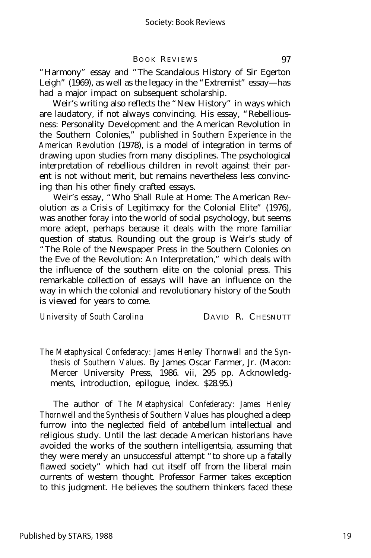"Harmony" essay and "The Scandalous History of Sir Egerton Leigh" (1969), as well as the legacy in the "Extremist" essay— has had a major impact on subsequent scholarship.

Weir's writing also reflects the "New History" in ways which are laudatory, if not always convincing. His essay, "Rebelliousness: Personality Development and the American Revolution in the Southern Colonies," published in *Southern Experience in the American Revolution* (1978), is a model of integration in terms of drawing upon studies from many disciplines. The psychological interpretation of rebellious children in revolt against their parent is not without merit, but remains nevertheless less convincing than his other finely crafted essays.

Weir's essay, "Who Shall Rule at Home: The American Revolution as a Crisis of Legitimacy for the Colonial Elite" (1976), was another foray into the world of social psychology, but seems more adept, perhaps because it deals with the more familiar question of status. Rounding out the group is Weir's study of "The Role of the Newspaper Press in the Southern Colonies on the Eve of the Revolution: An Interpretation," which deals with the influence of the southern elite on the colonial press. This remarkable collection of essays will have an influence on the way in which the colonial and revolutionary history of the South is viewed for years to come.

*University of South Carolina* DAVID R. CHESNUTT

*The Metaphysical Confederacy: James Henley Thornwell and the Synthesis of Southern Values.* By James Oscar Farmer, Jr. (Macon: Mercer University Press, 1986. vii, 295 pp. Acknowledgments, introduction, epilogue, index. \$28.95.)

The author of *The Metaphysical Confederacy: James Henley Thornwell and the Synthesis of Southern Values* has ploughed a deep furrow into the neglected field of antebellum intellectual and religious study. Until the last decade American historians have avoided the works of the southern intelligentsia, assuming that they were merely an unsuccessful attempt "to shore up a fatally flawed society" which had cut itself off from the liberal main currents of western thought. Professor Farmer takes exception to this judgment. He believes the southern thinkers faced these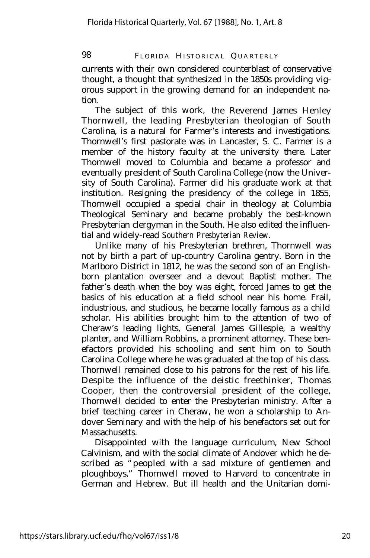currents with their own considered counterblast of conservative thought, a thought that synthesized in the 1850s providing vigorous support in the growing demand for an independent nation.

The subject of this work, the Reverend James Henley Thornwell, the leading Presbyterian theologian of South Carolina, is a natural for Farmer's interests and investigations. Thornwell's first pastorate was in Lancaster, S. C. Farmer is a member of the history faculty at the university there. Later Thornwell moved to Columbia and became a professor and eventually president of South Carolina College (now the University of South Carolina). Farmer did his graduate work at that institution. Resigning the presidency of the college in 1855, Thornwell occupied a special chair in theology at Columbia Theological Seminary and became probably the best-known Presbyterian clergyman in the South. He also edited the influential and widely-read *Southern Presbyterian Review.*

Unlike many of his Presbyterian brethren, Thornwell was not by birth a part of up-country Carolina gentry. Born in the Marlboro District in 1812, he was the second son of an Englishborn plantation overseer and a devout Baptist mother. The father's death when the boy was eight, forced James to get the basics of his education at a field school near his home. Frail, industrious, and studious, he became locally famous as a child scholar. His abilities brought him to the attention of two of Cheraw's leading lights, General James Gillespie, a wealthy planter, and William Robbins, a prominent attorney. These benefactors provided his schooling and sent him on to South Carolina College where he was graduated at the top of his class. Thornwell remained close to his patrons for the rest of his life. Despite the influence of the deistic freethinker, Thomas Cooper, then the controversial president of the college, Thornwell decided to enter the Presbyterian ministry. After a brief teaching career in Cheraw, he won a scholarship to Andover Seminary and with the help of his benefactors set out for Massachusetts.

Disappointed with the language curriculum, New School Calvinism, and with the social climate of Andover which he described as "peopled with a sad mixture of gentlemen and ploughboys," Thornwell moved to Harvard to concentrate in German and Hebrew. But ill health and the Unitarian domi-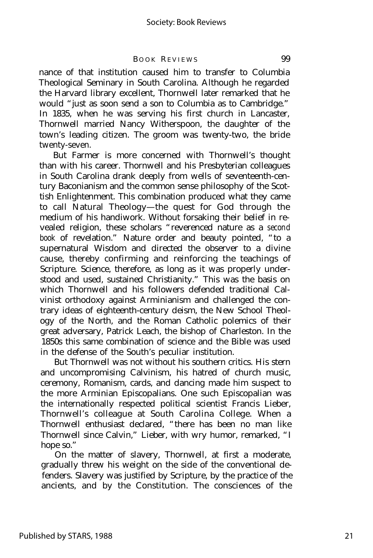nance of that institution caused him to transfer to Columbia Theological Seminary in South Carolina. Although he regarded the Harvard library excellent, Thornwell later remarked that he would "just as soon send a son to Columbia as to Cambridge." In 1835, when he was serving his first church in Lancaster, Thornwell married Nancy Witherspoon, the daughter of the town's leading citizen. The groom was twenty-two, the bride twenty-seven.

But Farmer is more concerned with Thornwell's thought than with his career. Thornwell and his Presbyterian colleagues in South Carolina drank deeply from wells of seventeenth-century Baconianism and the common sense philosophy of the Scottish Enlightenment. This combination produced what they came to call Natural Theology— the quest for God through the medium of his handiwork. Without forsaking their belief in revealed religion, these scholars "reverenced nature as a *second book* of revelation." Nature order and beauty pointed, "to a supernatural Wisdom and directed the observer to a divine cause, thereby confirming and reinforcing the teachings of Scripture. Science, therefore, as long as it was properly understood and used, sustained Christianity." This was the basis on which Thornwell and his followers defended traditional Calvinist orthodoxy against Arminianism and challenged the contrary ideas of eighteenth-century deism, the New School Theology of the North, and the Roman Catholic polemics of their great adversary, Patrick Leach, the bishop of Charleston. In the 1850s this same combination of science and the Bible was used in the defense of the South's peculiar institution.

But Thornwell was not without his southern critics. His stern and uncompromising Calvinism, his hatred of church music, ceremony, Romanism, cards, and dancing made him suspect to the more Arminian Episcopalians. One such Episcopalian was the internationally respected political scientist Francis Lieber, Thornwell's colleague at South Carolina College. When a Thornwell enthusiast declared, "there has been no man like Thornwell since Calvin," Lieber, with wry humor, remarked, "I hope so."

On the matter of slavery, Thornwell, at first a moderate, gradually threw his weight on the side of the conventional defenders. Slavery was justified by Scripture, by the practice of the ancients, and by the Constitution. The consciences of the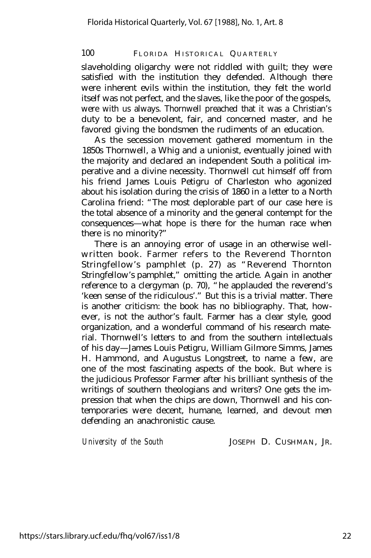slaveholding oligarchy were not riddled with guilt; they were satisfied with the institution they defended. Although there were inherent evils within the institution, they felt the world itself was not perfect, and the slaves, like the poor of the gospels, were with us always. Thornwell preached that it was a Christian's duty to be a benevolent, fair, and concerned master, and he favored giving the bondsmen the rudiments of an education.

As the secession movement gathered momentum in the 1850s Thornwell, a Whig and a unionist, eventually joined with the majority and declared an independent South a political imperative and a divine necessity. Thornwell cut himself off from his friend James Louis Petigru of Charleston who agonized about his isolation during the crisis of 1860 in a letter to a North Carolina friend: "The most deplorable part of our case here is the total absence of a minority and the general contempt for the consequences— what hope is there for the human race when there is no minority?"

There is an annoying error of usage in an otherwise wellwritten book. Farmer refers to the Reverend Thornton Stringfellow's pamphlet (p. 27) as "Reverend Thornton Stringfellow's pamphlet," omitting the article. Again in another reference to a clergyman (p. 70), "he applauded the reverend's 'keen sense of the ridiculous'." But this is a trivial matter. There is another criticism: the book has no bibliography. That, however, is not the author's fault. Farmer has a clear style, good organization, and a wonderful command of his research material. Thornwell's letters to and from the southern intellectuals of his day— James Louis Petigru, William Gilmore Simms, James H. Hammond, and Augustus Longstreet, to name a few, are one of the most fascinating aspects of the book. But where is the judicious Professor Farmer after his brilliant synthesis of the writings of southern theologians and writers? One gets the impression that when the chips are down, Thornwell and his contemporaries were decent, humane, learned, and devout men defending an anachronistic cause.

*University of the South* JOSEPH D. CUSHMAN, JR.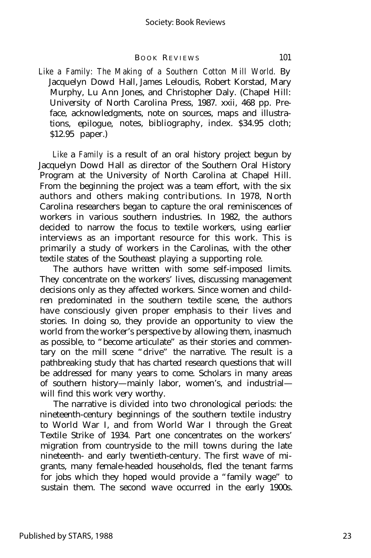*Like a Family: The Making of a Southern Cotton Mill World.* By Jacquelyn Dowd Hall, James Leloudis, Robert Korstad, Mary Murphy, Lu Ann Jones, and Christopher Daly. (Chapel Hill: University of North Carolina Press, 1987. xxii, 468 pp. Preface, acknowledgments, note on sources, maps and illustrations, epilogue, notes, bibliography, index. \$34.95 cloth; \$12.95 paper.)

*Like* a *Family* is a result of an oral history project begun by Jacquelyn Dowd Hall as director of the Southern Oral History Program at the University of North Carolina at Chapel Hill. From the beginning the project was a team effort, with the six authors and others making contributions. In 1978, North Carolina researchers began to capture the oral reminiscences of workers in various southern industries. In 1982, the authors decided to narrow the focus to textile workers, using earlier interviews as an important resource for this work. This is primarily a study of workers in the Carolinas, with the other textile states of the Southeast playing a supporting role.

The authors have written with some self-imposed limits. They concentrate on the workers' lives, discussing management decisions only as they affected workers. Since women and children predominated in the southern textile scene, the authors have consciously given proper emphasis to their lives and stories. In doing so, they provide an opportunity to view the world from the worker's perspective by allowing them, inasmuch as possible, to "become articulate" as their stories and commentary on the mill scene "drive" the narrative. The result is a pathbreaking study that has charted research questions that will be addressed for many years to come. Scholars in many areas of southern history— mainly labor, women's, and industrial will find this work very worthy.

The narrative is divided into two chronological periods: the nineteenth-century beginnings of the southern textile industry to World War I, and from World War I through the Great Textile Strike of 1934. Part one concentrates on the workers' migration from countryside to the mill towns during the late nineteenth- and early twentieth-century. The first wave of migrants, many female-headed households, fled the tenant farms for jobs which they hoped would provide a "family wage" to sustain them. The second wave occurred in the early 1900s.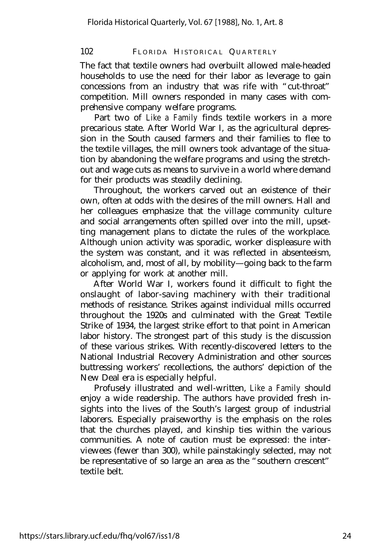The fact that textile owners had overbuilt allowed male-headed households to use the need for their labor as leverage to gain concessions from an industry that was rife with "cut-throat" competition. Mill owners responded in many cases with comprehensive company welfare programs.

Part two of *Like a Family* finds textile workers in a more precarious state. After World War I, as the agricultural depression in the South caused farmers and their families to flee to the textile villages, the mill owners took advantage of the situation by abandoning the welfare programs and using the stretchout and wage cuts as means to survive in a world where demand for their products was steadily declining.

Throughout, the workers carved out an existence of their own, often at odds with the desires of the mill owners. Hall and her colleagues emphasize that the village community culture and social arrangements often spilled over into the mill, upsetting management plans to dictate the rules of the workplace. Although union activity was sporadic, worker displeasure with the system was constant, and it was reflected in absenteeism, alcoholism, and, most of all, by mobility— going back to the farm or applying for work at another mill.

After World War I, workers found it difficult to fight the onslaught of labor-saving machinery with their traditional methods of resistance. Strikes against individual mills occurred throughout the 1920s and culminated with the Great Textile Strike of 1934, the largest strike effort to that point in American labor history. The strongest part of this study is the discussion of these various strikes. With recently-discovered letters to the National Industrial Recovery Administration and other sources buttressing workers' recollections, the authors' depiction of the New Deal era is especially helpful.

Profusely illustrated and well-written, *Like a Family* should enjoy a wide readership. The authors have provided fresh insights into the lives of the South's largest group of industrial laborers. Especially praiseworthy is the emphasis on the roles that the churches played, and kinship ties within the various communities. A note of caution must be expressed: the interviewees (fewer than 300), while painstakingly selected, may not be representative of so large an area as the "southern crescent" textile belt.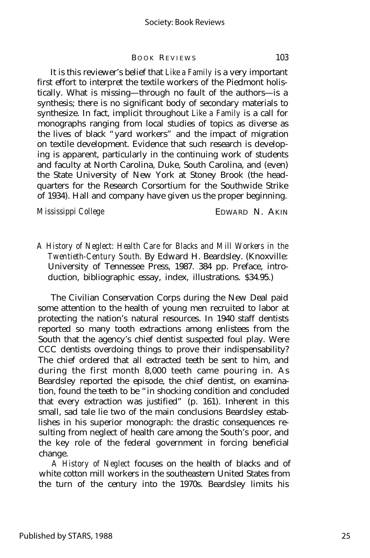It is this reviewer's belief that *Like a Family* is a very important first effort to interpret the textile workers of the Piedmont holistically. What is missing— through no fault of the authors— is a synthesis; there is no significant body of secondary materials to synthesize. In fact, implicit throughout *Like a Family* is a call for monographs ranging from local studies of topics as diverse as the lives of black "yard workers" and the impact of migration on textile development. Evidence that such research is developing is apparent, particularly in the continuing work of students and faculty at North Carolina, Duke, South Carolina, and (even) the State University of New York at Stoney Brook (the headquarters for the Research Corsortium for the Southwide Strike of 1934). Hall and company have given us the proper beginning.

*Mississippi College* **EDWARD** N. AKIN

*A History of Neglect: Health Care for Blacks and Mill Workers in the Twentieth-Century South.* By Edward H. Beardsley. (Knoxville: University of Tennessee Press, 1987. 384 pp. Preface, introduction, bibliographic essay, index, illustrations. \$34.95.)

The Civilian Conservation Corps during the New Deal paid some attention to the health of young men recruited to labor at protecting the nation's natural resources. In 1940 staff dentists reported so many tooth extractions among enlistees from the South that the agency's chief dentist suspected foul play. Were CCC dentists overdoing things to prove their indispensability? The chief ordered that all extracted teeth be sent to him, and during the first month 8,000 teeth came pouring in. As Beardsley reported the episode, the chief dentist, on examination, found the teeth to be "in shocking condition and concluded that every extraction was justified" (p. 161). Inherent in this small, sad tale lie two of the main conclusions Beardsley establishes in his superior monograph: the drastic consequences resulting from neglect of health care among the South's poor, and the key role of the federal government in forcing beneficial change.

*A History of Neglect* focuses on the health of blacks and of white cotton mill workers in the southeastern United States from the turn of the century into the 1970s. Beardsley limits his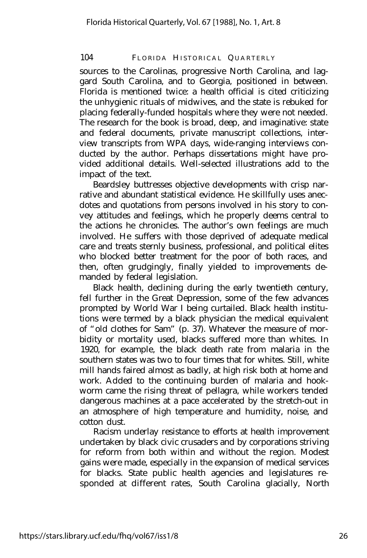sources to the Carolinas, progressive North Carolina, and laggard South Carolina, and to Georgia, positioned in between. Florida is mentioned twice: a health official is cited criticizing the unhygienic rituals of midwives, and the state is rebuked for placing federally-funded hospitals where they were not needed. The research for the book is broad, deep, and imaginative: state and federal documents, private manuscript collections, interview transcripts from WPA days, wide-ranging interviews conducted by the author. Perhaps dissertations might have provided additional details. Well-selected illustrations add to the impact of the text.

Beardsley buttresses objective developments with crisp narrative and abundant statistical evidence. He skillfully uses anecdotes and quotations from persons involved in his story to convey attitudes and feelings, which he properly deems central to the actions he chronicles. The author's own feelings are much involved. He suffers with those deprived of adequate medical care and treats sternly business, professional, and political elites who blocked better treatment for the poor of both races, and then, often grudgingly, finally yielded to improvements demanded by federal legislation.

Black health, declining during the early twentieth century, fell further in the Great Depression, some of the few advances prompted by World War I being curtailed. Black health institutions were termed by a black physician the medical equivalent of "old clothes for Sam" (p. 37). Whatever the measure of morbidity or mortality used, blacks suffered more than whites. In 1920, for example, the black death rate from malaria in the southern states was two to four times that for whites. Still, white mill hands faired almost as badly, at high risk both at home and work. Added to the continuing burden of malaria and hookworm came the rising threat of pellagra, while workers tended dangerous machines at a pace accelerated by the stretch-out in an atmosphere of high temperature and humidity, noise, and cotton dust.

Racism underlay resistance to efforts at health improvement undertaken by black civic crusaders and by corporations striving for reform from both within and without the region. Modest gains were made, especially in the expansion of medical services for blacks. State public health agencies and legislatures responded at different rates, South Carolina glacially, North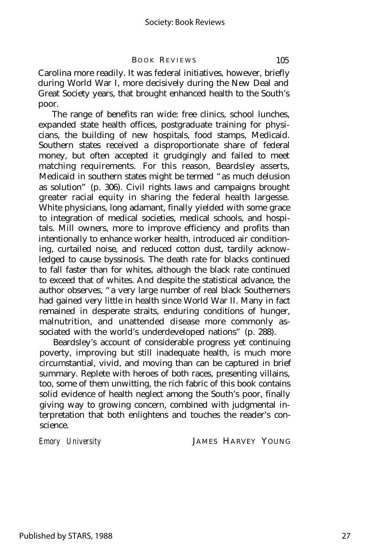Carolina more readily. It was federal initiatives, however, briefly during World War I, more decisively during the New Deal and Great Society years, that brought enhanced health to the South's poor.

The range of benefits ran wide: free clinics, school lunches, expanded state health offices, postgraduate training for physicians, the building of new hospitals, food stamps, Medicaid. Southern states received a disproportionate share of federal money, but often accepted it grudgingly and failed to meet matching requirements. For this reason, Beardsley asserts, Medicaid in southern states might be termed "as much delusion as solution" (p. 306). Civil rights laws and campaigns brought greater racial equity in sharing the federal health largesse. White physicians, long adamant, finally yielded with some grace to integration of medical societies, medical schools, and hospitals. Mill owners, more to improve efficiency and profits than intentionally to enhance worker health, introduced air conditioning, curtailed noise, and reduced cotton dust, tardily acknowledged to cause byssinosis. The death rate for blacks continued to fall faster than for whites, although the black rate continued to exceed that of whites. And despite the statistical advance, the author observes, "a very large number of real black Southerners had gained very little in health since World War II. Many in fact remained in desperate straits, enduring conditions of hunger, malnutrition, and unattended disease more commonly associated with the world's underdeveloped nations" (p. 288).

Beardsley's account of considerable progress yet continuing poverty, improving but still inadequate health, is much more circumstantial, vivid, and moving than can be captured in brief summary. Replete with heroes of both races, presenting villains, too, some of them unwitting, the rich fabric of this book contains solid evidence of health neglect among the South's poor, finally giving way to growing concern, combined with judgmental interpretation that both enlightens and touches the reader's conscience.

*Emory University* JAMES HARVEY YOUNG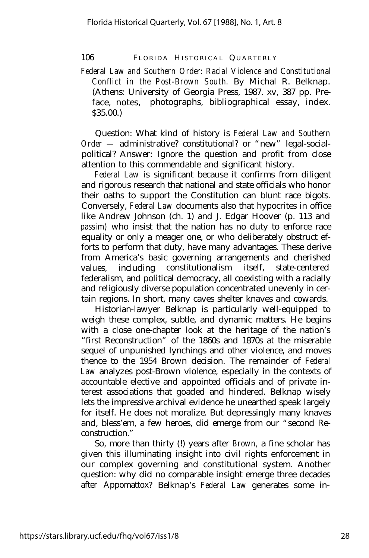*Federal Law and Southern Order: Racial Violence and Constitutional Conflict in the Post-Brown South.* By Michal R. Belknap. (Athens: University of Georgia Press, 1987. xv, 387 pp. Preface, notes, photographs, bibliographical essay, index. \$35.00.)

Question: What kind of history is *Federal Law and Southern Order —* administrative? constitutional? or "new" legal-socialpolitical? Answer: Ignore the question and profit from close attention to this commendable and significant history.

*Federal Law* is significant because it confirms from diligent and rigorous research that national and state officials who honor their oaths to support the Constitution can blunt race bigots. Conversely, *Federal Law* documents also that hypocrites in office like Andrew Johnson (ch. 1) and J. Edgar Hoover (p. 113 and *passim)* who insist that the nation has no duty to enforce race equality or only a meager one, or who deliberately obstruct efforts to perform that duty, have many advantages. These derive from America's basic governing arrangements and cherished values, including constitutionalism itself, state-centered federalism, and political democracy, all coexisting with a racially and religiously diverse population concentrated unevenly in certain regions. In short, many caves shelter knaves and cowards.

Historian-lawyer Belknap is particularly well-equipped to weigh these complex, subtle, and dynamic matters. He begins with a close one-chapter look at the heritage of the nation's "first Reconstruction" of the 1860s and 1870s at the miserable sequel of unpunished lynchings and other violence, and moves thence to the 1954 Brown decision. The remainder of *Federal Law* analyzes post-Brown violence, especially in the contexts of accountable elective and appointed officials and of private interest associations that goaded and hindered. Belknap wisely lets the impressive archival evidence he unearthed speak largely for itself. He does not moralize. But depressingly many knaves and, bless'em, a few heroes, did emerge from our "second Reconstruction."

So, more than thirty (!) years after *Brown,* a fine scholar has given this illuminating insight into civil rights enforcement in our complex governing and constitutional system. Another question: why did no comparable insight emerge three decades after Appomattox? Belknap's *Federal Law* generates some in-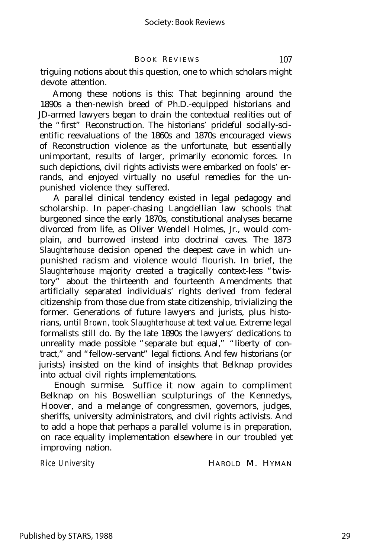triguing notions about this question, one to which scholars might devote attention.

Among these notions is this: That beginning around the 1890s a then-newish breed of Ph.D.-equipped historians and JD-armed lawyers began to drain the contextual realities out of the "first" Reconstruction. The historians' prideful socially-scientific reevaluations of the 1860s and 1870s encouraged views of Reconstruction violence as the unfortunate, but essentially unimportant, results of larger, primarily economic forces. In such depictions, civil rights activists were embarked on fools' errands, and enjoyed virtually no useful remedies for the unpunished violence they suffered.

A parallel clinical tendency existed in legal pedagogy and scholarship. In paper-chasing Langdellian law schools that burgeoned since the early 1870s, constitutional analyses became divorced from life, as Oliver Wendell Holmes, Jr., would complain, and burrowed instead into doctrinal caves. The 1873 *Slaughterhouse* decision opened the deepest cave in which unpunished racism and violence would flourish. In brief, the *Slaughterhouse* majority created a tragically context-less "twistory" about the thirteenth and fourteenth Amendments that artificially separated individuals' rights derived from federal citizenship from those due from state citizenship, trivializing the former. Generations of future lawyers and jurists, plus historians, until *Brown,* took *Slaughterhouse* at text value. Extreme legal formalists still do. By the late 1890s the lawyers' dedications to unreality made possible "separate but equal," "liberty of contract," and "fellow-servant" legal fictions. And few historians (or jurists) insisted on the kind of insights that Belknap provides into actual civil rights implementations.

Enough surmise. Suffice it now again to compliment Belknap on his Boswellian sculpturings of the Kennedys, Hoover, and a melange of congressmen, governors, judges, sheriffs, university administrators, and civil rights activists. And to add a hope that perhaps a parallel volume is in preparation, on race equality implementation elsewhere in our troubled yet improving nation.

*Rice University* **HAROLD M. HYMAN**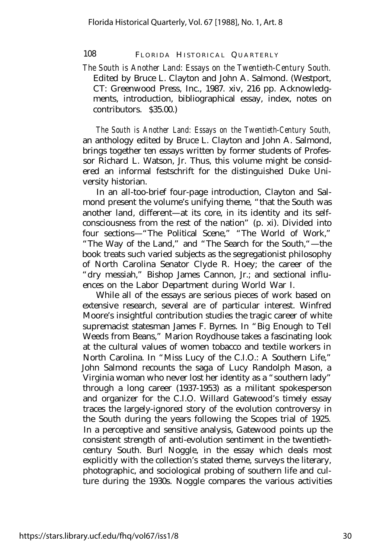*The South is Another Land: Essays on the Twentieth-Century South.* Edited by Bruce L. Clayton and John A. Salmond. (Westport, CT: Greenwood Press, Inc., 1987. xiv, 216 pp. Acknowledgments, introduction, bibliographical essay, index, notes on contributors. \$35.00.)

*The South is Another Land: Essays on the Twentieth-Century South,* an anthology edited by Bruce L. Clayton and John A. Salmond, brings together ten essays written by former students of Professor Richard L. Watson, Jr. Thus, this volume might be considered an informal festschrift for the distinguished Duke University historian.

In an all-too-brief four-page introduction, Clayton and Salmond present the volume's unifying theme, "that the South was another land, different— at its core, in its identity and its selfconsciousness from the rest of the nation" (p. xi). Divided into four sections— "The Political Scene," "The World of Work," "The Way of the Land," and "The Search for the South,"— the book treats such varied subjects as the segregationist philosophy of North Carolina Senator Clyde R. Hoey; the career of the "dry messiah," Bishop James Cannon, Jr.; and sectional influences on the Labor Department during World War I.

While all of the essays are serious pieces of work based on extensive research, several are of particular interest. Winfred Moore's insightful contribution studies the tragic career of white supremacist statesman James F. Byrnes. In "Big Enough to Tell Weeds from Beans," Marion Roydhouse takes a fascinating look at the cultural values of women tobacco and textile workers in North Carolina. In "Miss Lucy of the C.I.O.: A Southern Life," John Salmond recounts the saga of Lucy Randolph Mason, a Virginia woman who never lost her identity as a "southern lady" through a long career (1937-1953) as a militant spokesperson and organizer for the C.I.O. Willard Gatewood's timely essay traces the largely-ignored story of the evolution controversy in the South during the years following the Scopes trial of 1925. In a perceptive and sensitive analysis, Gatewood points up the consistent strength of anti-evolution sentiment in the twentiethcentury South. Burl Noggle, in the essay which deals most explicitly with the collection's stated theme, surveys the literary, photographic, and sociological probing of southern life and culture during the 1930s. Noggle compares the various activities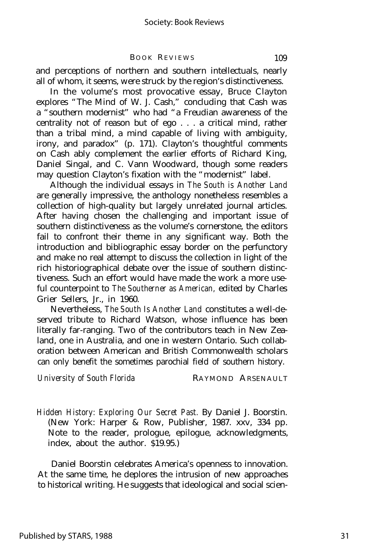and perceptions of northern and southern intellectuals, nearly all of whom, it seems, were struck by the region's distinctiveness.

In the volume's most provocative essay, Bruce Clayton explores "The Mind of W. J. Cash," concluding that Cash was a "southern modernist" who had "a Freudian awareness of the centrality not of reason but of ego . . . a critical mind, rather than a tribal mind, a mind capable of living with ambiguity, irony, and paradox" (p. 171). Clayton's thoughtful comments on Cash ably complement the earlier efforts of Richard King, Daniel Singal, and C. Vann Woodward, though some readers may question Clayton's fixation with the "modernist" label.

Although the individual essays in *The South is Another Land* are generally impressive, the anthology nonetheless resembles a collection of high-quality but largely unrelated journal articles. After having chosen the challenging and important issue of southern distinctiveness as the volume's cornerstone, the editors fail to confront their theme in any significant way. Both the introduction and bibliographic essay border on the perfunctory and make no real attempt to discuss the collection in light of the rich historiographical debate over the issue of southern distinctiveness. Such an effort would have made the work a more useful counterpoint to *The Southerner as American,* edited by Charles Grier Sellers, Jr., in 1960.

Nevertheless, *The South Is Another Land* constitutes a well-deserved tribute to Richard Watson, whose influence has been literally far-ranging. Two of the contributors teach in New Zealand, one in Australia, and one in western Ontario. Such collaboration between American and British Commonwealth scholars can only benefit the sometimes parochial field of southern history.

*University of South Florida* RAYMOND ARSENAULT

*Hidden History: Exploring Our Secret Past.* By Daniel J. Boorstin. (New York: Harper & Row, Publisher, 1987. xxv, 334 pp. Note to the reader, prologue, epilogue, acknowledgments, index, about the author. \$19.95.)

Daniel Boorstin celebrates America's openness to innovation. At the same time, he deplores the intrusion of new approaches to historical writing. He suggests that ideological and social scien-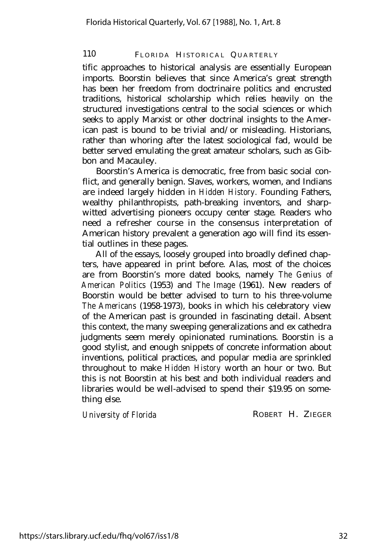tific approaches to historical analysis are essentially European imports. Boorstin believes that since America's great strength has been her freedom from doctrinaire politics and encrusted traditions, historical scholarship which relies heavily on the structured investigations central to the social sciences or which seeks to apply Marxist or other doctrinal insights to the American past is bound to be trivial and/or misleading. Historians, rather than whoring after the latest sociological fad, would be better served emulating the great amateur scholars, such as Gibbon and Macauley.

Boorstin's America is democratic, free from basic social conflict, and generally benign. Slaves, workers, women, and Indians are indeed largely hidden in *Hidden History.* Founding Fathers, wealthy philanthropists, path-breaking inventors, and sharpwitted advertising pioneers occupy center stage. Readers who need a refresher course in the consensus interpretation of American history prevalent a generation ago will find its essential outlines in these pages.

All of the essays, loosely grouped into broadly defined chapters, have appeared in print before. Alas, most of the choices are from Boorstin's more dated books, namely *The Genius of American Politics* (1953) and *The Image* (1961). New readers of Boorstin would be better advised to turn to his three-volume *The Americans* (1958-1973), books in which his celebratory view of the American past is grounded in fascinating detail. Absent this context, the many sweeping generalizations and ex cathedra judgments seem merely opinionated ruminations. Boorstin is a good stylist, and enough snippets of concrete information about inventions, political practices, and popular media are sprinkled throughout to make *Hidden History* worth an hour or two. But this is not Boorstin at his best and both individual readers and libraries would be well-advised to spend their \$19.95 on something else.

*University of Florida* ROBERT H. ZIEGER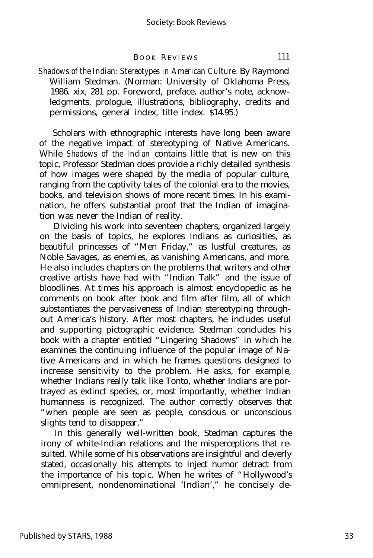*Shadows of the Indian: Stereotypes in American Culture.* By Raymond William Stedman. (Norman: University of Oklahoma Press, 1986. xix, 281 pp. Foreword, preface, author's note, acknowledgments, prologue, illustrations, bibliography, credits and permissions, general index, title index. \$14.95.)

Scholars with ethnographic interests have long been aware of the negative impact of stereotyping of Native Americans. While *Shadows of the Indian* contains little that is new on this topic, Professor Stedman does provide a richly detailed synthesis of how images were shaped by the media of popular culture, ranging from the captivity tales of the colonial era to the movies, books, and television shows of more recent times. In his examination, he offers substantial proof that the Indian of imagination was never the Indian of reality.

Dividing his work into seventeen chapters, organized largely on the basis of topics, he explores Indians as curiosities, as beautiful princesses of "Men Friday," as lustful creatures, as Noble Savages, as enemies, as vanishing Americans, and more. He also includes chapters on the problems that writers and other creative artists have had with "Indian Talk" and the issue of bloodlines. At times his approach is almost encyclopedic as he comments on book after book and film after film, all of which substantiates the pervasiveness of Indian stereotyping throughout America's history. After most chapters, he includes useful and supporting pictographic evidence. Stedman concludes his book with a chapter entitled "Lingering Shadows" in which he examines the continuing influence of the popular image of Native Americans and in which he frames questions designed to increase sensitivity to the problem. He asks, for example, whether Indians really talk like Tonto, whether Indians are portrayed as extinct species, or, most importantly, whether Indian humanness is recognized. The author correctly observes that "when people are seen as people, conscious or unconscious slights tend to disappear."

In this generally well-written book, Stedman captures the irony of white-Indian relations and the misperceptions that resulted. While some of his observations are insightful and cleverly stated, occasionally his attempts to inject humor detract from the importance of his topic. When he writes of "Hollywood's omnipresent, nondenominational 'Indian'," he concisely de-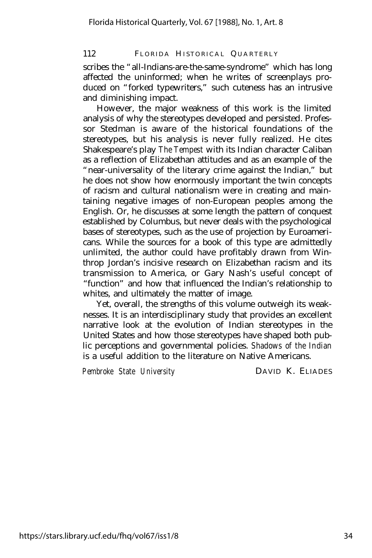scribes the "all-Indians-are-the-same-syndrome" which has long affected the uninformed; when he writes of screenplays produced on "forked typewriters," such cuteness has an intrusive and diminishing impact.

However, the major weakness of this work is the limited analysis of why the stereotypes developed and persisted. Professor Stedman is aware of the historical foundations of the stereotypes, but his analysis is never fully realized. He cites Shakespeare's play *The Tempest* with its Indian character Caliban as a reflection of Elizabethan attitudes and as an example of the "near-universality of the literary crime against the Indian," but he does not show how enormously important the twin concepts of racism and cultural nationalism were in creating and maintaining negative images of non-European peoples among the English. Or, he discusses at some length the pattern of conquest established by Columbus, but never deals with the psychological bases of stereotypes, such as the use of projection by Euroamericans. While the sources for a book of this type are admittedly unlimited, the author could have profitably drawn from Winthrop Jordan's incisive research on Elizabethan racism and its transmission to America, or Gary Nash's useful concept of "function" and how that influenced the Indian's relationship to whites, and ultimately the matter of image.

Yet, overall, the strengths of this volume outweigh its weaknesses. It is an interdisciplinary study that provides an excellent narrative look at the evolution of Indian stereotypes in the United States and how those stereotypes have shaped both public perceptions and governmental policies. *Shadows of the Indian* is a useful addition to the literature on Native Americans.

*Pembroke State University* DAVID K. ELIADES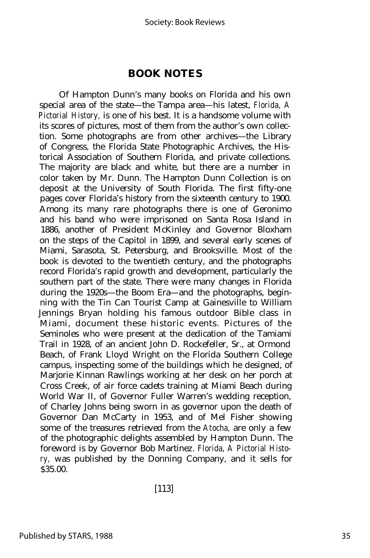#### **BOOK NOTES**

Of Hampton Dunn's many books on Florida and his own special area of the state— the Tampa area— his latest, *Florida, A Pictorial History,* is one of his best. It is a handsome volume with its scores of pictures, most of them from the author's own collection. Some photographs are from other archives— the Library of Congress, the Florida State Photographic Archives, the Historical Association of Southern Florida, and private collections. The majority are black and white, but there are a number in color taken by Mr. Dunn. The Hampton Dunn Collection is on deposit at the University of South Florida. The first fifty-one pages cover Florida's history from the sixteenth century to 1900. Among its many rare photographs there is one of Geronimo and his band who were imprisoned on Santa Rosa Island in 1886, another of President McKinley and Governor Bloxham on the steps of the Capitol in 1899, and several early scenes of Miami, Sarasota, St. Petersburg, and Brooksville. Most of the book is devoted to the twentieth century, and the photographs record Florida's rapid growth and development, particularly the southern part of the state. There were many changes in Florida during the 1920s— the Boom Era— and the photographs, beginning with the Tin Can Tourist Camp at Gainesville to William Jennings Bryan holding his famous outdoor Bible class in Miami, document these historic events. Pictures of the Seminoles who were present at the dedication of the Tamiami Trail in 1928, of an ancient John D. Rockefeller, Sr., at Ormond Beach, of Frank Lloyd Wright on the Florida Southern College campus, inspecting some of the buildings which he designed, of Marjorie Kinnan Rawlings working at her desk on her porch at Cross Creek, of air force cadets training at Miami Beach during World War II, of Governor Fuller Warren's wedding reception, of Charley Johns being sworn in as governor upon the death of Governor Dan McCarty in 1953, and of Mel Fisher showing some of the treasures retrieved from the *Atocha,* are only a few of the photographic delights assembled by Hampton Dunn. The foreword is by Governor Bob Martinez. *Florida, A Pictorial History,* was published by the Donning Company, and it sells for \$35.00.

[113]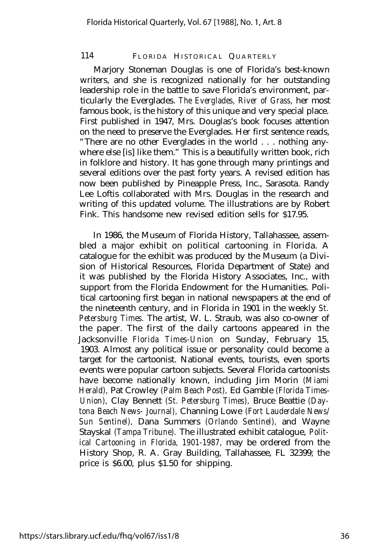Marjory Stoneman Douglas is one of Florida's best-known writers, and she is recognized nationally for her outstanding leadership role in the battle to save Florida's environment, particularly the Everglades. *The Everglades, River of Grass,* her most famous book, is the history of this unique and very special place. First published in 1947, Mrs. Douglas's book focuses attention on the need to preserve the Everglades. Her first sentence reads, "There are no other Everglades in the world . . . nothing anywhere else [is] like them." This is a beautifully written book, rich in folklore and history. It has gone through many printings and several editions over the past forty years. A revised edition has now been published by Pineapple Press, Inc., Sarasota. Randy Lee Loftis collaborated with Mrs. Douglas in the research and writing of this updated volume. The illustrations are by Robert Fink. This handsome new revised edition sells for \$17.95.

In 1986, the Museum of Florida History, Tallahassee, assembled a major exhibit on political cartooning in Florida. A catalogue for the exhibit was produced by the Museum (a Division of Historical Resources, Florida Department of State) and it was published by the Florida History Associates, Inc., with support from the Florida Endowment for the Humanities. Political cartooning first began in national newspapers at the end of the nineteenth century, and in Florida in 1901 in the weekly *St. Petersburg Times.* The artist, W. L. Straub, was also co-owner of the paper. The first of the daily cartoons appeared in the Jacksonville *Florida Times-Union* on Sunday, February 15, 1903. Almost any political issue or personality could become a target for the cartoonist. National events, tourists, even sports events were popular cartoon subjects. Several Florida cartoonists have become nationally known, including Jim Morin *(Miami Herald),* Pat Crowley *(Palm Beach Post),* Ed Gamble *(Florida Times-Union),* Clay Bennett *(St. Petersburg Times),* Bruce Beattie *(Daytona Beach News- Journal),* Channing Lowe *(Fort Lauderdale News/ Sun Sentinel),* Dana Summers *(Orlando Sentinel),* and Wayne Stayskal *(Tampa Tribune).* The illustrated exhibit catalogue, *Political Cartooning in Florida, 1901-1987,* may be ordered from the History Shop, R. A. Gray Building, Tallahassee, FL 32399; the price is \$6.00, plus \$1.50 for shipping.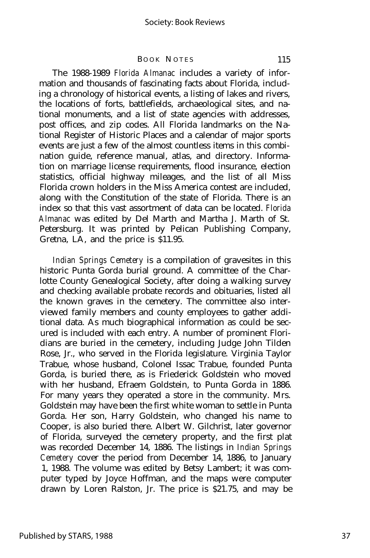#### BOOK NOTES 115

The 1988-1989 *Florida Almanac* includes a variety of information and thousands of fascinating facts about Florida, including a chronology of historical events, a listing of lakes and rivers, the locations of forts, battlefields, archaeological sites, and national monuments, and a list of state agencies with addresses, post offices, and zip codes. All Florida landmarks on the National Register of Historic Places and a calendar of major sports events are just a few of the almost countless items in this combination guide, reference manual, atlas, and directory. Information on marriage license requirements, flood insurance, election statistics, official highway mileages, and the list of all Miss Florida crown holders in the Miss America contest are included, along with the Constitution of the state of Florida. There is an index so that this vast assortment of data can be located. *Florida Almanac* was edited by Del Marth and Martha J. Marth of St. Petersburg. It was printed by Pelican Publishing Company, Gretna, LA, and the price is \$11.95.

*Indian Springs Cemetery* is a compilation of gravesites in this historic Punta Gorda burial ground. A committee of the Charlotte County Genealogical Society, after doing a walking survey and checking available probate records and obituaries, listed all the known graves in the cemetery. The committee also interviewed family members and county employees to gather additional data. As much biographical information as could be secured is included with each entry. A number of prominent Floridians are buried in the cemetery, including Judge John Tilden Rose, Jr., who served in the Florida legislature. Virginia Taylor Trabue, whose husband, Colonel Issac Trabue, founded Punta Gorda, is buried there, as is Friederick Goldstein who moved with her husband, Efraem Goldstein, to Punta Gorda in 1886. For many years they operated a store in the community. Mrs. Goldstein may have been the first white woman to settle in Punta Gorda. Her son, Harry Goldstein, who changed his name to Cooper, is also buried there. Albert W. Gilchrist, later governor of Florida, surveyed the cemetery property, and the first plat was recorded December 14, 1886. The listings in *Indian Springs Cemetery* cover the period from December 14, 1886, to January 1, 1988. The volume was edited by Betsy Lambert; it was computer typed by Joyce Hoffman, and the maps were computer drawn by Loren Ralston, Jr. The price is \$21.75, and may be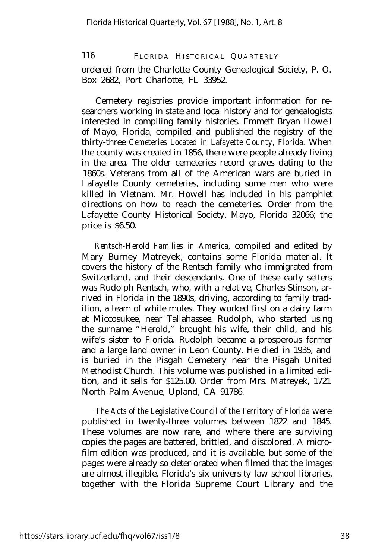ordered from the Charlotte County Genealogical Society, P. O. Box 2682, Port Charlotte, FL 33952.

Cemetery registries provide important information for researchers working in state and local history and for genealogists interested in compiling family histories. Emmett Bryan Howell of Mayo, Florida, compiled and published the registry of the thirty-three *Cemeteries Located in Lafayette County, Florida.* When the county was created in 1856, there were people already living in the area. The older cemeteries record graves dating to the 1860s. Veterans from all of the American wars are buried in Lafayette County cemeteries, including some men who were killed in Vietnam. Mr. Howell has included in his pamphlet directions on how to reach the cemeteries. Order from the Lafayette County Historical Society, Mayo, Florida 32066; the price is \$6.50.

*Rentsch-Herold Families in America,* compiled and edited by Mary Burney Matreyek, contains some Florida material. It covers the history of the Rentsch family who immigrated from Switzerland, and their descendants. One of these early setters was Rudolph Rentsch, who, with a relative, Charles Stinson, arrived in Florida in the 1890s, driving, according to family tradition, a team of white mules. They worked first on a dairy farm at Miccosukee, near Tallahassee. Rudolph, who started using the surname "Herold," brought his wife, their child, and his wife's sister to Florida. Rudolph became a prosperous farmer and a large land owner in Leon County. He died in 1935, and is buried in the Pisgah Cemetery near the Pisgah United Methodist Church. This volume was published in a limited edition, and it sells for \$125.00. Order from Mrs. Matreyek, 1721 North Palm Avenue, Upland, CA 91786.

*The Acts of the Legislative Council of the Territory of Florida* were published in twenty-three volumes between 1822 and 1845. These volumes are now rare, and where there are surviving copies the pages are battered, brittled, and discolored. A microfilm edition was produced, and it is available, but some of the pages were already so deteriorated when filmed that the images are almost illegible. Florida's six university law school libraries, together with the Florida Supreme Court Library and the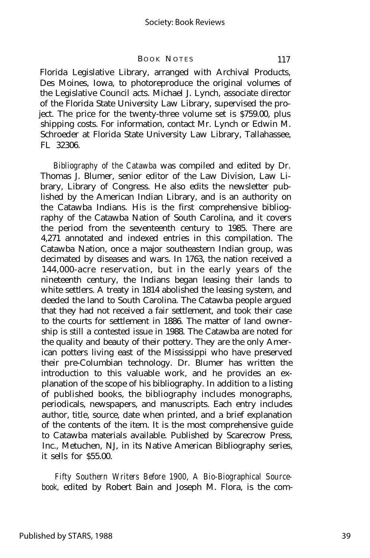#### BOOK NOTES 117

Florida Legislative Library, arranged with Archival Products, Des Moines, Iowa, to photoreproduce the original volumes of the Legislative Council acts. Michael J. Lynch, associate director of the Florida State University Law Library, supervised the project. The price for the twenty-three volume set is \$759.00, plus shipping costs. For information, contact Mr. Lynch or Edwin M. Schroeder at Florida State University Law Library, Tallahassee, FL 32306.

*Bibliography of the Catawba* was compiled and edited by Dr. Thomas J. Blumer, senior editor of the Law Division, Law Library, Library of Congress. He also edits the newsletter published by the American Indian Library, and is an authority on the Catawba Indians. His is the first comprehensive bibliography of the Catawba Nation of South Carolina, and it covers the period from the seventeenth century to 1985. There are 4,271 annotated and indexed entries in this compilation. The Catawba Nation, once a major southeastern Indian group, was decimated by diseases and wars. In 1763, the nation received a 144,000-acre reservation, but in the early years of the nineteenth century, the Indians began leasing their lands to white settlers. A treaty in 1814 abolished the leasing system, and deeded the land to South Carolina. The Catawba people argued that they had not received a fair settlement, and took their case to the courts for settlement in 1886. The matter of land ownership is still a contested issue in 1988. The Catawba are noted for the quality and beauty of their pottery. They are the only American potters living east of the Mississippi who have preserved their pre-Columbian technology. Dr. Blumer has written the introduction to this valuable work, and he provides an explanation of the scope of his bibliography. In addition to a listing of published books, the bibliography includes monographs, periodicals, newspapers, and manuscripts. Each entry includes author, title, source, date when printed, and a brief explanation of the contents of the item. It is the most comprehensive guide to Catawba materials available. Published by Scarecrow Press, Inc., Metuchen, NJ, in its Native American Bibliography series, it sells for \$55.00.

*Fifty Southern Writers Before 1900, A Bio-Biographical Sourcebook,* edited by Robert Bain and Joseph M. Flora, is the com-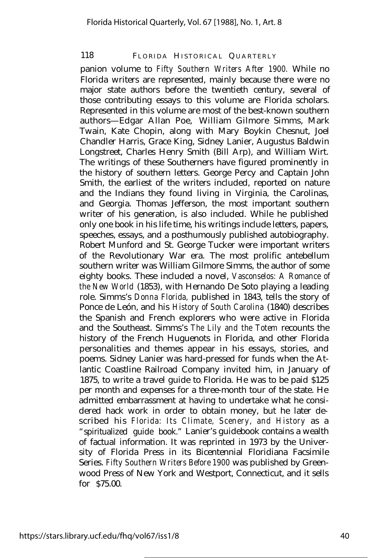panion volume to *Fifty Southern Writers After 1900.* While no Florida writers are represented, mainly because there were no major state authors before the twentieth century, several of those contributing essays to this volume are Florida scholars. Represented in this volume are most of the best-known southern authors— Edgar Allan Poe, William Gilmore Simms, Mark Twain, Kate Chopin, along with Mary Boykin Chesnut, Joel Chandler Harris, Grace King, Sidney Lanier, Augustus Baldwin Longstreet, Charles Henry Smith (Bill Arp), and William Wirt. The writings of these Southerners have figured prominently in the history of southern letters. George Percy and Captain John Smith, the earliest of the writers included, reported on nature and the Indians they found living in Virginia, the Carolinas, and Georgia. Thomas Jefferson, the most important southern writer of his generation, is also included. While he published only one book in his life time, his writings include letters, papers, speeches, essays, and a posthumously published autobiography. Robert Munford and St. George Tucker were important writers of the Revolutionary War era. The most prolific antebellum southern writer was William Gilmore Simms, the author of some eighty books. These included a novel, *Vasconselos: A Romance of the New World* (1853), with Hernando De Soto playing a leading role. Simms's *Donna Florida,* published in 1843, tells the story of Ponce de León, and his *History of South Carolina* (1840) describes the Spanish and French explorers who were active in Florida and the Southeast. Simms's *The Lily and the Totem* recounts the history of the French Huguenots in Florida, and other Florida personalities and themes appear in his essays, stories, and poems. Sidney Lanier was hard-pressed for funds when the Atlantic Coastline Railroad Company invited him, in January of 1875, to write a travel guide to Florida. He was to be paid \$125 per month and expenses for a three-month tour of the state. He admitted embarrassment at having to undertake what he considered hack work in order to obtain money, but he later described his *Florida: Its Climate, Scenery, and History* as a "spiritualized guide book." Lanier's guidebook contains a wealth of factual information. It was reprinted in 1973 by the University of Florida Press in its Bicentennial Floridiana Facsimile Series. *Fifty Southern Writers Before 1900* was published by Greenwood Press of New York and Westport, Connecticut, and it sells for \$75.00.